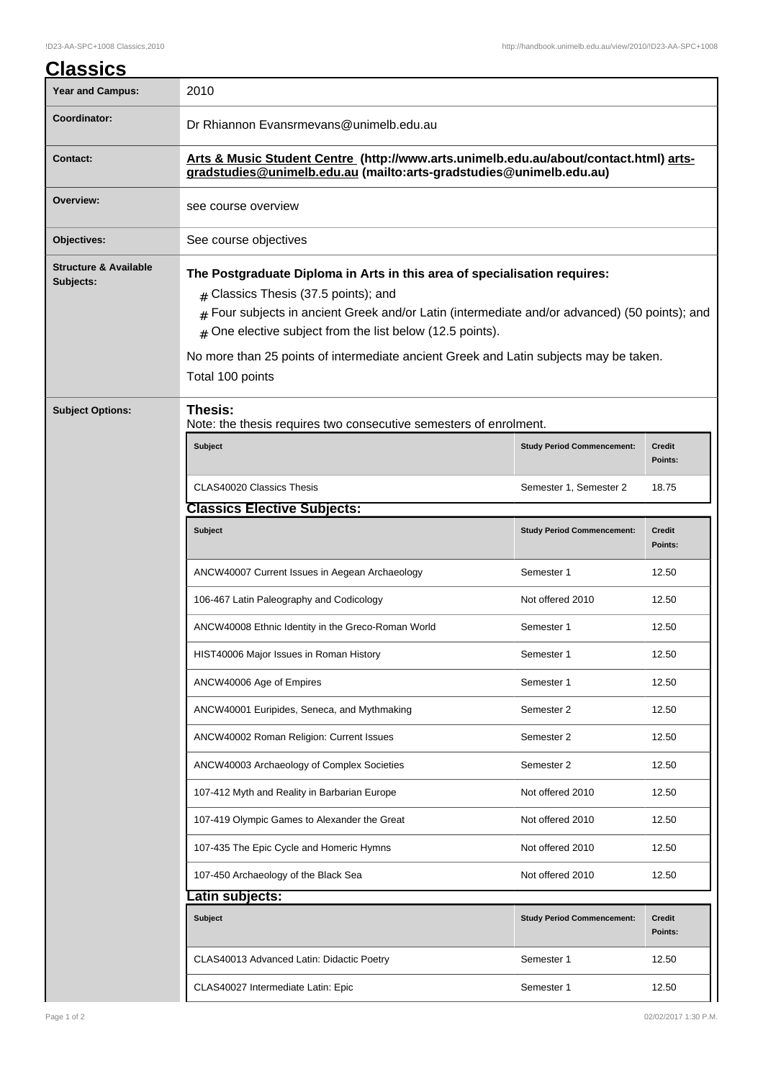| <b>Classics</b>                               |                                                                                                                                                                                                                                                                                                                                                                                                         |                                   |                          |  |  |
|-----------------------------------------------|---------------------------------------------------------------------------------------------------------------------------------------------------------------------------------------------------------------------------------------------------------------------------------------------------------------------------------------------------------------------------------------------------------|-----------------------------------|--------------------------|--|--|
| <b>Year and Campus:</b>                       | 2010                                                                                                                                                                                                                                                                                                                                                                                                    |                                   |                          |  |  |
| <b>Coordinator:</b>                           | Dr Rhiannon Evansrmevans@unimelb.edu.au                                                                                                                                                                                                                                                                                                                                                                 |                                   |                          |  |  |
| <b>Contact:</b>                               | Arts & Music Student Centre (http://www.arts.unimelb.edu.au/about/contact.html) arts-<br>gradstudies@unimelb.edu.au (mailto:arts-gradstudies@unimelb.edu.au)                                                                                                                                                                                                                                            |                                   |                          |  |  |
| Overview:                                     | see course overview                                                                                                                                                                                                                                                                                                                                                                                     |                                   |                          |  |  |
| Objectives:                                   | See course objectives                                                                                                                                                                                                                                                                                                                                                                                   |                                   |                          |  |  |
| <b>Structure &amp; Available</b><br>Subjects: | The Postgraduate Diploma in Arts in this area of specialisation requires:<br>$#$ Classics Thesis (37.5 points); and<br>Four subjects in ancient Greek and/or Latin (intermediate and/or advanced) (50 points); and<br>$\#$<br>One elective subject from the list below (12.5 points).<br>#<br>No more than 25 points of intermediate ancient Greek and Latin subjects may be taken.<br>Total 100 points |                                   |                          |  |  |
| <b>Subject Options:</b>                       | Thesis:<br>Note: the thesis requires two consecutive semesters of enrolment.                                                                                                                                                                                                                                                                                                                            |                                   |                          |  |  |
|                                               | <b>Subject</b>                                                                                                                                                                                                                                                                                                                                                                                          | <b>Study Period Commencement:</b> | <b>Credit</b><br>Points: |  |  |
|                                               | CLAS40020 Classics Thesis                                                                                                                                                                                                                                                                                                                                                                               | Semester 1, Semester 2            | 18.75                    |  |  |
|                                               | <b>Classics Elective Subjects:</b>                                                                                                                                                                                                                                                                                                                                                                      |                                   |                          |  |  |
|                                               | <b>Subject</b>                                                                                                                                                                                                                                                                                                                                                                                          | <b>Study Period Commencement:</b> | <b>Credit</b><br>Points: |  |  |
|                                               | ANCW40007 Current Issues in Aegean Archaeology                                                                                                                                                                                                                                                                                                                                                          | Semester 1                        | 12.50                    |  |  |
|                                               | 106-467 Latin Paleography and Codicology                                                                                                                                                                                                                                                                                                                                                                | Not offered 2010                  | 12.50                    |  |  |
|                                               | ANCW40008 Ethnic Identity in the Greco-Roman World                                                                                                                                                                                                                                                                                                                                                      | Semester 1                        | 12.50                    |  |  |
|                                               | HIST40006 Major Issues in Roman History                                                                                                                                                                                                                                                                                                                                                                 | Semester 1                        | 12.50                    |  |  |
|                                               | ANCW40006 Age of Empires                                                                                                                                                                                                                                                                                                                                                                                | Semester 1                        | 12.50                    |  |  |
|                                               | ANCW40001 Euripides, Seneca, and Mythmaking                                                                                                                                                                                                                                                                                                                                                             | Semester 2                        | 12.50                    |  |  |
|                                               | ANCW40002 Roman Religion: Current Issues                                                                                                                                                                                                                                                                                                                                                                | Semester 2                        | 12.50                    |  |  |
|                                               | ANCW40003 Archaeology of Complex Societies                                                                                                                                                                                                                                                                                                                                                              | Semester 2                        | 12.50                    |  |  |
|                                               | 107-412 Myth and Reality in Barbarian Europe                                                                                                                                                                                                                                                                                                                                                            | Not offered 2010                  | 12.50                    |  |  |
|                                               | 107-419 Olympic Games to Alexander the Great                                                                                                                                                                                                                                                                                                                                                            | Not offered 2010                  | 12.50                    |  |  |
|                                               | 107-435 The Epic Cycle and Homeric Hymns                                                                                                                                                                                                                                                                                                                                                                | Not offered 2010                  | 12.50                    |  |  |
|                                               | 107-450 Archaeology of the Black Sea                                                                                                                                                                                                                                                                                                                                                                    | Not offered 2010                  | 12.50                    |  |  |
|                                               | .atin subjects:                                                                                                                                                                                                                                                                                                                                                                                         |                                   |                          |  |  |
|                                               | <b>Subject</b>                                                                                                                                                                                                                                                                                                                                                                                          | <b>Study Period Commencement:</b> | <b>Credit</b><br>Points: |  |  |
|                                               | CLAS40013 Advanced Latin: Didactic Poetry                                                                                                                                                                                                                                                                                                                                                               | Semester 1                        | 12.50                    |  |  |
|                                               | CLAS40027 Intermediate Latin: Epic                                                                                                                                                                                                                                                                                                                                                                      | Semester 1                        | 12.50                    |  |  |